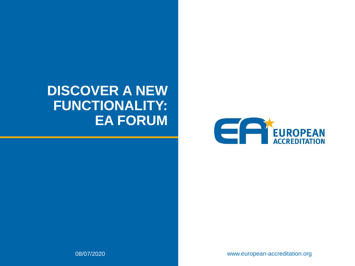#### **DISCOVER A NEW FUNCTIONALITY: EA FORUM**



www.european-accreditation.org

08/07/2020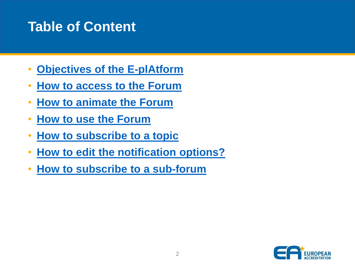#### **Table of Content**

- **[Objectives of the E-plAtform](#page-2-0)**
- **How to [access](#page-4-0) to the Forum**
- **How to [animate](#page-5-0) the Forum**
- **[How to use the Forum](#page-6-0)**
- **How to [subscribe](#page-15-0) to a topic**
- **[How to edit the notification options?](#page-16-0)**
- **[How to subscribe](#page-17-0) to a sub-forum**

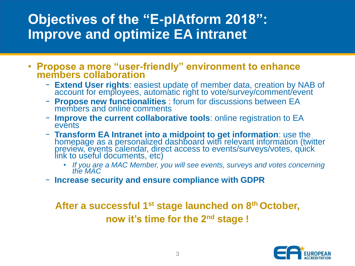#### <span id="page-2-0"></span>**Objectives of the "E-plAtform 2018": Improve and optimize EA intranet**

- **Propose a more "user-friendly" environment to enhance members collaboration**
	- − **Extend User rights**: easiest update of member data, creation by NAB of account for employees, automatic right to vote/survey/comment/event
	- − **Propose new functionalities** : forum for discussions between EA members and online comments
	- − **Improve the current collaborative tools**: online registration to EA events
	- − **Transform EA Intranet into a midpoint to get information**: use the homepage as a personalized dashboard with relevant information (twitter preview, events calendar, direct access to events/surveys/votes, quick link to useful documents, etc)
		- *If you are a MAC Member, you will see events, surveys and votes concerning the MAC*
	- − **Increase security and ensure compliance with GDPR**

**After a successful 1st stage launched on 8th October, now it's time for the 2nd stage !**

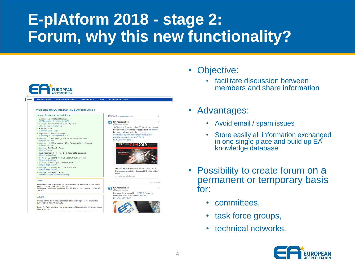# **E-plAtform 2018 - stage 2: Forum, why this new functionality?**



- Objective:
	- facilitate discussion between members and share information
- Advantages:
	- Avoid email / spam issues
	- Store easily all information exchanged in one single place and build up  $E\overline{A}$ knowledge database
- Possibility to create forum on a permanent or temporary basis for:
	- committees,
	- task force groups,
	- technical networks.

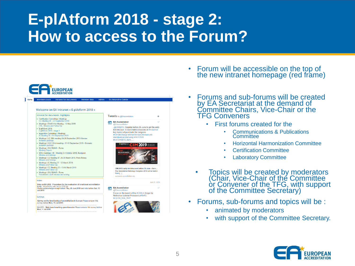<span id="page-4-0"></span>

- Forum will be accessible on the top of the new intranet homepage (red frame)
- Forums and sub-forums will be created by EA Secretariat at the demand of Committee Chairs, Vice-Chair or the TFG Conveners
	- First forums created for the
		- Communications & Publications **Committee**
		- Horizontal Harmonization Committee
		- Certification Committee
		- Laboratory Committee
	- Topics will be created by moderators (Chair, Vice-Chair of the Committee or Convener of the TFG, with support of the Committee Secretary)
- Forums, sub-forums and topics will be :
	- animated by moderators
	- with support of the Committee Secretary.

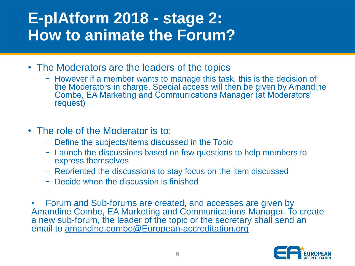- <span id="page-5-0"></span>• The Moderators are the leaders of the topics
	- − However if a member wants to manage this task, this is the decision of the Moderators in charge. Special access will then be given by Amandine Combe, EA Marketing and Communications Manager (at Moderators' request)
- The role of the Moderator is to:
	- − Define the subjects/items discussed in the Topic
	- − Launch the discussions based on few questions to help members to express themselves
	- − Reoriented the discussions to stay focus on the item discussed
	- − Decide when the discussion is finished
- Forum and Sub-forums are created, and accesses are given by Amandine Combe, EA Marketing and Communications Manager. To create a new sub-forum, the leader of the topic or the secretary shall send an email to [amandine.combe@European-accreditation.org](mailto:amandine.combe@European-accreditation.org)

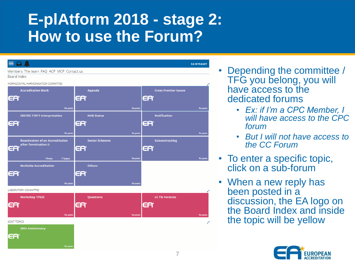<span id="page-6-0"></span>

| Q A                                     |                       | <b>EA INTRANET</b>           |
|-----------------------------------------|-----------------------|------------------------------|
| Members The team FAQ ACP MCP Contact us |                       |                              |
| Board index                             |                       |                              |
| HORINZONTAL HARMONISATION COMMITTEE     |                       | e <sup>n</sup>               |
| <b>Accreditation Mark</b>               | <b>Appeals</b>        | <b>Cross Frontier Issues</b> |
| EA                                      | EA                    | EA                           |
|                                         |                       |                              |
| <b>No posts</b>                         | <b>No posts</b>       | <b>No posts</b>              |
| <b>ISO/IEC 17011 Interpretation</b>     | <b>NAB Status</b>     | <b>Notification</b>          |
| EA                                      | EA                    | EA                           |
| <b>No posts</b>                         | <b>No posts</b>       | <b>No posts</b>              |
| <b>Reactivation of an Accreditation</b> | <b>Sector Schemes</b> | <b>Subcontracting</b>        |
| after Termination                       |                       |                              |
| EA                                      | EA                    | EA                           |
| 1 Posts<br>1 Topics                     | <b>No posts</b>       | No posts                     |
| <b>Multisite Accreditation</b>          | <b>Others</b>         |                              |
| EA                                      | EA                    |                              |
|                                         |                       |                              |
| <b>No posts</b>                         | <b>No posts</b>       |                              |
| LABORATORY COMMITTEE                    |                       | ¥,                           |
| Workshop 17025                          | Questions             | <b>LC TN Forensic</b>        |
| EA*                                     | EA                    | EA                           |
|                                         |                       |                              |
| No posts                                | No posts              | <b>No posts</b>              |
| <b>IOINT TOPICS</b>                     |                       |                              |
| <b>20th Anniversary</b>                 |                       |                              |
| EA                                      |                       |                              |
| No posts                                |                       |                              |

- Depending the committee / TFG you belong, you will have access to the dedicated forums
	- *Ex: if I'm a CPC Member, I will have access to the CPC forum*
	- *But I will not have access to the CC Forum*
- To enter a specific topic, click on a sub-forum
- When a new reply has been posted in a discussion, the EA logo on the Board Index and inside the topic will be yellow

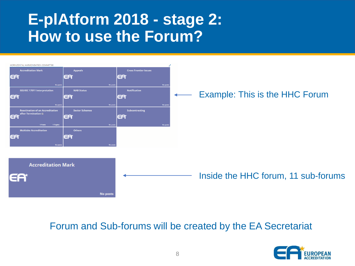

#### Forum and Sub-forums will be created by the EA Secretariat

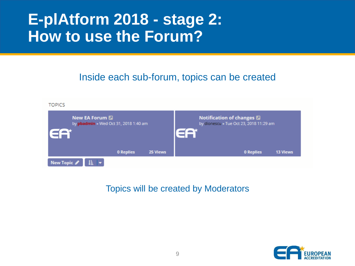Inside each sub-forum, topics can be created



#### Topics will be created by Moderators

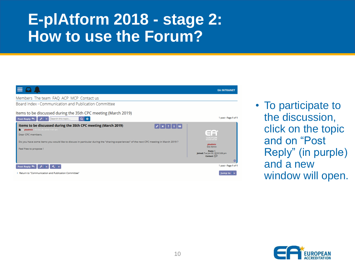

• To participate to the discussion, click on the topic and on "Post Reply" (in purple) and a new window will open.

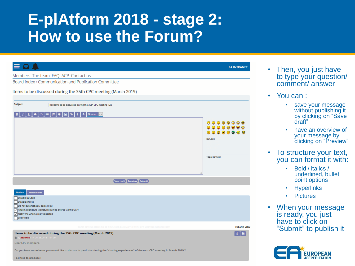|                                                                                                                                                                                                                              | <b>EA INTRANET</b>                                          |
|------------------------------------------------------------------------------------------------------------------------------------------------------------------------------------------------------------------------------|-------------------------------------------------------------|
| Members The team FAQ ACP Contact us                                                                                                                                                                                          |                                                             |
| Board index < Communication and Publication Committee                                                                                                                                                                        |                                                             |
| Items to be discussed during the 35th CPC meeting (March 2019)                                                                                                                                                               |                                                             |
| Subject:<br>Re: Items to be discussed during the 35th CPC meeting (Ma                                                                                                                                                        |                                                             |
| QG⊙ ⊕ ≣[≣[≉[ <b>⊠</b> ]<br>Normal v<br>$\mathbf{B}$<br>$\bullet$                                                                                                                                                             | Θ<br>$\circledcirc$<br><b>BBCode</b><br><b>Topic review</b> |
| Save draft Preview Submit                                                                                                                                                                                                    |                                                             |
| <b>Options</b><br><b>Attachments</b><br>Disable BBCode<br>Disable smilies<br>Do not automatically parse URLs<br>Attach a signature (signatures can be altered via the UCP)<br>Notify me when a reply is posted<br>Lock topic |                                                             |
| <b>ITEMS TO BE DISCUSSED DURING THE 35TH CPC MEETING (MARCH</b>                                                                                                                                                              | <b>EXPAND VIEW</b>                                          |
| Items to be discussed during the 35th CPC meeting (March 2019)<br>Fri Oct 26, 2018 11:01 am<br><b>Distribution</b><br>Dear CPC members,                                                                                      | $\mathbf{i}$ 66                                             |
| Do you have some items you would like to discuss in particular during the "sharing experiences" of the next CPC meeting in March 2019 ?<br>Feel free to propose!                                                             |                                                             |

- Then, you just have to type your question/ comment/ answer
- You can :
	- save your message without publishing it by clicking on "Save draft"
	- have an overview of your message by clicking on "Preview"
- To structure your text, you can format it with:
	- Bold / italics / underlined, bullet point options
	- **Hyperlinks**
	- **Pictures**
- When your message is ready, you just have to click on "Submit" to publish it

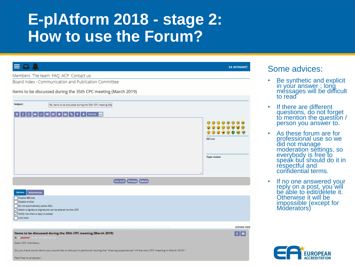| $\equiv$                                                                                                                                                                                                                                                                | <b>EA INTRANET</b>                                                                       |
|-------------------------------------------------------------------------------------------------------------------------------------------------------------------------------------------------------------------------------------------------------------------------|------------------------------------------------------------------------------------------|
| Members The team FAQ ACP Contact us                                                                                                                                                                                                                                     |                                                                                          |
| Board index < Communication and Publication Committee                                                                                                                                                                                                                   |                                                                                          |
| Items to be discussed during the 35th CPC meeting (March 2019)                                                                                                                                                                                                          |                                                                                          |
| Subject:<br>Re: Items to be discussed during the 35th CPC meeting (Ma                                                                                                                                                                                                   |                                                                                          |
| U G   ∅   ≣   ≡   ≉   ⊠   %  <br><b>b</b> Normal<br>$\overline{\mathcal{A}}$<br>$\mathbf{B}$                                                                                                                                                                            | Θ<br>(GrG)<br>۵<br>$\odot$<br>0000000<br>$\circ$<br><b>BBCode</b><br><b>Topic review</b> |
| <b>Save draft</b> Preview Submit                                                                                                                                                                                                                                        |                                                                                          |
| <b>Options</b><br><b>Attachments</b><br>Disable BBCode<br>Disable smilies<br>Do not automatically parse URLs<br>Attach a signature (signatures can be altered via the UCP)<br>$\boxed{\smile}$ Notify me when a reply is posted<br>Lock topic                           |                                                                                          |
| TOPIC REVIEW: ITEMS TO BE DISCUSSED DURING THE 35TH CPC MEETING (MARCH 2019                                                                                                                                                                                             | <b>EXPAND VIEW</b>                                                                       |
| Items to be discussed during the 35th CPC meeting (March 2019)<br>by pbadmin > Fri Oct 26, 2018 11:01 a<br>Dear CPC members.<br>Do you have some items you would like to discuss in particular during the "sharing experiences" of the next CPC meeting in March 2019 ? | 66                                                                                       |

#### Some advices:

- Be synthetic and explicit in your answer ; long messages will be difficult to read
- If there are different questions, do not forget to mention the question / person you answer to.
- As these forum are for professional use so we did not manage moderation settings, so everybody is free to speak but should do it in respectful and confidential terms.
- If no one answered your reply on a post, you will be able to edit/delete it. Otherwise it will be impossible (except for Moderators)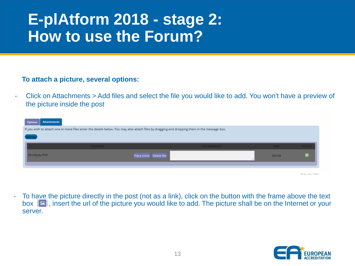#### **To attach a picture, several options:**

- Click on Attachments > Add files and select the file you would like to add. You won't have a preview of the picture inside the post

| <b>Attachments</b><br><b>Options</b> |                                                                                                                                              |                          |                     |             |               |
|--------------------------------------|----------------------------------------------------------------------------------------------------------------------------------------------|--------------------------|---------------------|-------------|---------------|
|                                      | If you wish to attach one or more files enter the details below. You may also attach files by dragging and dropping them in the message box. |                          |                     |             |               |
| \dd file                             |                                                                                                                                              |                          |                     |             |               |
|                                      | <b>FILENAME</b>                                                                                                                              |                          | <b>FILE COMMENT</b> | <b>SIZE</b> | <b>STATUS</b> |
| dthsdtydy.PNG                        |                                                                                                                                              | Place inline Delete file |                     | 300 KB      |               |
|                                      |                                                                                                                                              |                          |                     |             |               |
|                                      |                                                                                                                                              |                          |                     |             | ------------- |

- To have the picture directly in the post (not as a link), click on the button with the frame above the text  $\|$  insert the url of the picture you would like to add. The picture shall be on the Internet or your server.

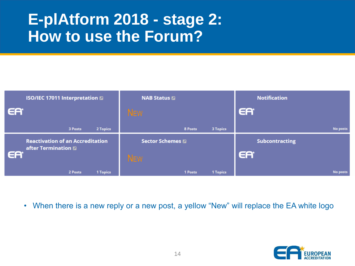| <b>ISO/IEC 17011 Interpretation a</b>   |         |                             | <b>NAB Status 2</b> |         |                       | <b>Notification</b> |                 |
|-----------------------------------------|---------|-----------------------------|---------------------|---------|-----------------------|---------------------|-----------------|
| EA                                      |         |                             | <b>NEW</b>          |         |                       | EA                  |                 |
|                                         | 3 Posts | 2 Topics                    |                     | 8 Posts | <b>3 Topics</b>       |                     | <b>No posts</b> |
| <b>Reactivation of an Accreditation</b> |         | <b>Sector Schemes &amp;</b> |                     |         | <b>Subcontracting</b> |                     |                 |
| after Termination<br>EA                 |         |                             | <b>NEW</b>          |         |                       | EA                  |                 |
|                                         | 2 Posts | 1 Topics                    |                     | 1 Posts | 1 Topics              |                     | <b>No posts</b> |

• When there is a new reply or a new post, a yellow "New" will replace the EA white logo

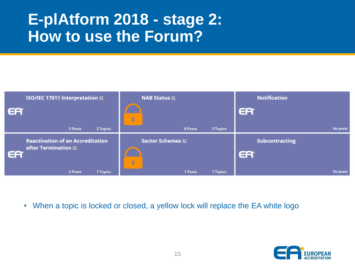

• When a topic is locked or closed, a yellow lock will replace the EA white logo

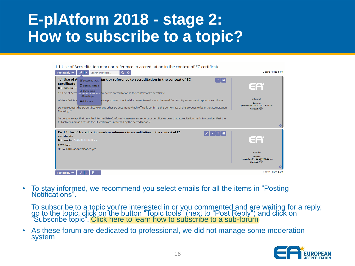## <span id="page-15-0"></span>**E-plAtform 2018 - stage 2: How to subscribe to a topic?**

#### 1.1 Use of Accreditation mark or reference to accreditation in the context of EC certificate

| Post Reply<br>Search this topic<br>$\alpha$                                                                                                                                                                                                                                                                                                                                                                                                                                                                                                                                                                                                                                                                                                                                                                                                                | 2 posts · Page 1 of 1                                                                        |
|------------------------------------------------------------------------------------------------------------------------------------------------------------------------------------------------------------------------------------------------------------------------------------------------------------------------------------------------------------------------------------------------------------------------------------------------------------------------------------------------------------------------------------------------------------------------------------------------------------------------------------------------------------------------------------------------------------------------------------------------------------------------------------------------------------------------------------------------------------|----------------------------------------------------------------------------------------------|
| jark or reference to accreditation in the context of EC<br>1.1 Use of A & Subscribe topic<br>$\pm$ 66<br>certificate<br><b>Q</b> Bookmark topic<br>mtworek<br><b>1</b> Bump topic<br>erence to accreditation in the context of EC certificate<br>1.1 Use of Accre<br>$\boxdot$ Email topic<br>ition purposes, the final document issued is not the usual Conformity assessment report or certificate.<br>While a CAB is a<br>$\bigoplus$ Print view<br>Do you request the EC Certificate or any other EC document which officially confirms the Conformity of the product, to bear the accreditation<br>Mark/logo?<br>Or do you accept that only the intermediate Conformity assessment reports or certificates bear that accreditation mark, to consider that the<br>full activity, and as a result, the EC certificate is covered by the accreditation ? | mtworek<br>Posts: 6<br>Joined: Wed Oct 10, 2018 8:42 am<br>Contact: $\odot$<br>$\circ$       |
| Re: 1.1 Use of Accreditation mark or reference to accreditation in the context of EC<br>certificate<br>y acombe » Wed Jul 17, 2019 8:58 am<br><b>TEST.docx</b><br>(11.57 KiB) Not downloaded yet                                                                                                                                                                                                                                                                                                                                                                                                                                                                                                                                                                                                                                                           | acombe<br>Posts: 5<br>loined: Tue Oct 23, 2018 10:20 am<br>Contact: $\circled{r}$<br>$\circ$ |
| Post Reply                                                                                                                                                                                                                                                                                                                                                                                                                                                                                                                                                                                                                                                                                                                                                                                                                                                 | 2 posts · Page 1 of 1                                                                        |

• To stay informed, we recommend you select emails for all the items in "Posting" Notifications".

To subscribe to a topic you're interested in or you commented and are waiting for a reply, go to the topic, click on the button "Topic tools" (next to "Post Reply") and click on "Subscribe topic". Click [here](#page-17-0) to learn how to subscribe to a sub-forum

• As these forum are dedicated to professional, we did not manage some moderation system

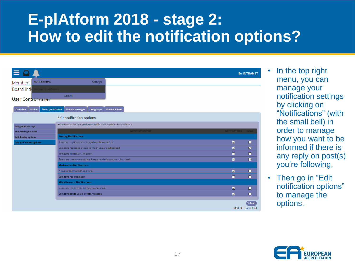## <span id="page-16-0"></span>**E-plAtform 2018 - stage 2: How to edit the notification options?**

| $\equiv$                                                        |                                                                     |                           |                         | <b>EA INTRANET</b>            |
|-----------------------------------------------------------------|---------------------------------------------------------------------|---------------------------|-------------------------|-------------------------------|
| <b>NOTIFICATIONS</b><br><b>Members</b>                          | <b>Settings</b>                                                     |                           |                         |                               |
| Board ind<br>You have no notifications                          |                                                                     |                           |                         |                               |
| User Contromaner                                                | See All                                                             |                           |                         |                               |
|                                                                 |                                                                     |                           |                         |                               |
| <b>Board preferences</b><br><b>Profile</b><br><b>Overview</b>   | <b>Private messages</b><br><b>Usergroups</b>                        | <b>Friends &amp; Foes</b> |                         |                               |
|                                                                 | <b>Edit notification options</b>                                    |                           |                         |                               |
|                                                                 | Here you can set your preferred notification methods for the board. |                           |                         |                               |
| <b>Edit global settings</b>                                     |                                                                     | <b>NOTIFICATION TYPE</b>  | NOTIFICATIONS EMAIL     |                               |
| <b>Edit posting defaults</b>                                    | <b>Posting Notifications</b>                                        |                           |                         |                               |
| <b>Edit display options</b><br><b>Edit notification options</b> | Someone replies to a topic you have bookmarked                      |                           | $\triangledown$         | □                             |
|                                                                 | Someone replies to a topic to which you are subscribed              | $\triangledown$           |                         |                               |
|                                                                 |                                                                     |                           |                         | ☑                             |
| Someone quotes you in a post                                    |                                                                     |                           | ☑                       | ◻                             |
|                                                                 | Someone creates a topic in a forum to which you are subscribed      |                           | ☑                       | ☑                             |
|                                                                 | <b>Moderation Notifications</b>                                     |                           |                         |                               |
|                                                                 | A post or topic needs approval                                      |                           | $\overline{\mathbf{z}}$ | □                             |
|                                                                 | Someone reports a post                                              |                           | ☑                       | □                             |
|                                                                 | <b>Miscellaneous Notifications</b>                                  |                           |                         |                               |
|                                                                 | Someone requests to join a group you lead                           |                           | ☑                       | □                             |
|                                                                 | Someone sends you a private message                                 |                           | $\overline{\mathbf{z}}$ | п                             |
|                                                                 |                                                                     |                           |                         |                               |
|                                                                 |                                                                     |                           |                         | Submit<br>Mark all Homark all |

In the top right menu, you can manage your notification settings by clicking on "Notifications" (with the small bell) in order to manage how you want to be informed if there is any reply on post(s) you're following.

• Then go in "Edit" notification options" to manage the options.

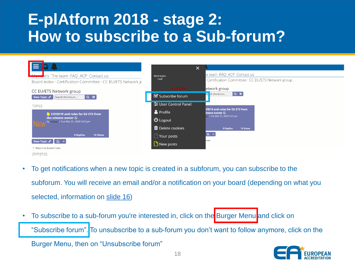## <span id="page-17-0"></span>**E-plAtform 2018 - stage 2: How to subscribe to a Sub-forum?**



- To get notifications when a new topic is created in a subforum, you can subscribe to the subforum. You will receive an email and/or a notification on your board (depending on what you selected, information on [slide 16\)](#page-16-0)
- To subscribe to a sub-forum you're interested in, click on the Burger Menu and click on "Subscribe forum". To unsubscribe to a sub-forum you don't want to follow anymore, click on the Burger Menu, then on "Unsubscribe forum"